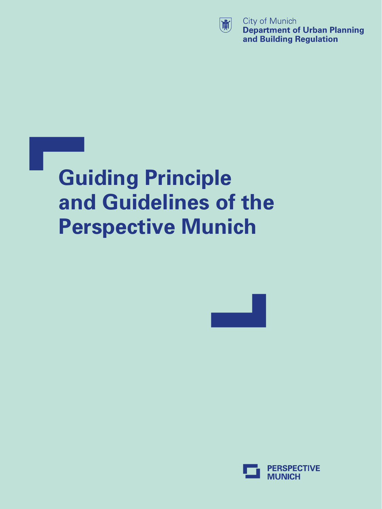

City of Munich **Department of Urban Planning** and Building Regulation

## **Guiding Principle and Guidelines of the Perspective Munich**



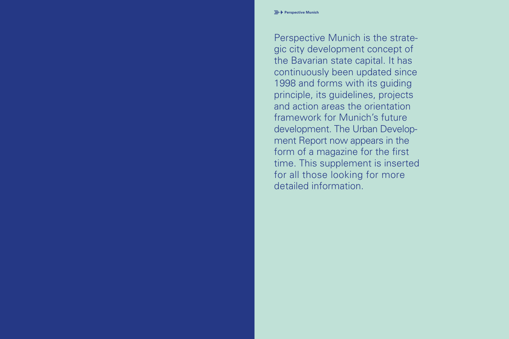Perspective Munich is the strate gic city development concept of the Bavarian state capital. It has continuously been updated since 1998 and forms with its guiding principle, its guidelines, projects and action areas the orientation framework for Munich's future development. The Urban Development Report now appears in the form of a magazine for the first time. This supplement is inserted for all those looking for more detailed information.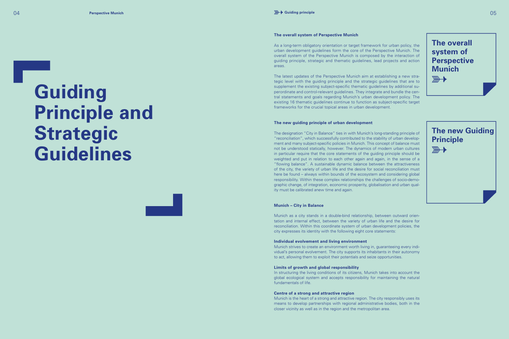#### **The overall system of Perspective Munich**

As a long-term obligatory orientation or target framework for urban policy, the urban development guidelines form the core of the Perspective Munich. The overall system of the Perspective Munich is composed by the interaction of guiding principle, strategic and thematic guidelines, lead projects and action areas.

The latest updates of the Perspective Munich aim at establishing a new strategic level with the guiding principle and the strategic guidelines that are to supplement the existing subject-specific thematic guidelines by additional superordinate and control-relevant guidelines. They integrate and bundle the central statements and goals regarding Munich's urban development policy. The existing 16 thematic guidelines continue to function as subject-specific target frameworks for the crucial topical areas in urban development.

#### **The new guiding principle of urban development**

The designation "City in Balance" ties in with Munich's long-standing principle of "reconciliation", which successfully contributed to the stability of urban development and many subject-specific policies in Munich. This concept of balance must not be understood statically, however. The dynamics of modern urban cultures in particular require that the core statements of the guiding principle should be weighted and put in relation to each other again and again, in the sense of a "flowing balance". A sustainable dynamic balance between the attractiveness of the city, the variety of urban life and the desire for social reconciliation must here be found – always within bounds of the ecosystem and considering global responsibility. Within these complex relationships the challenges of socio-demographic change, of integration, economic prosperity, globalisation and urban quality must be calibrated anew time and again.

#### **Munich – City in Balance**

Munich as a city stands in a double-bind relationship, between outward orientation and internal effect, between the variety of urban life and the desire for reconciliation. Within this coordinate system of urban development policies, the city expresses its identity with the following eight core statements:

#### **Individual evolvement and living environment**

Munich strives to create an environment worth living in, guaranteeing every individual's personal evolvement. The city supports its inhabitants in their autonomy to act, allowing them to exploit their potentials and seize opportunities.

#### **Limits of growth and global responsibility**

In structuring the living conditions of its citizens, Munich takes into account the global ecological system and accepts responsibility for maintaining the natural fundamentals of life.

#### **Centre of a strong and attractive region**

Munich is the heart of a strong and attractive region. The city responsibly uses its means to develop partnerships with regional administrative bodies, both in the closer vicinity as well as in the region and the metropolitan area.

# **Guiding Principle and Strategic Guidelines**

**The overall system of Perspective** 

**The new Guiding** 

**Munich**

 $\overline{\mathbb{R}}$ 

**Principle**

 $\mathbb{R}$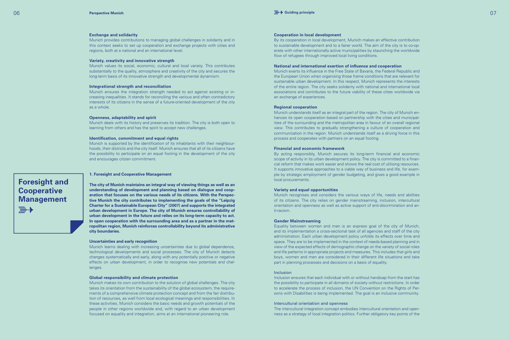#### **Exchange and solidarity**

Munich provides contributions to managing global challenges in solidarity and in this context seeks to set up cooperation and exchange projects with cities and regions, both at a national and an international level.

#### **Variety, creativity and innovative strength**

Munich values its social, economic, cultural and local variety. This contributes substantially to the quality, atmosphere and creativity of the city and secures the long-term basis of its innovative strength and developmental dynamism.

#### **Integrational strength and reconciliation**

Munich ensures the integration strength needed to act against existing or increasing inequalities. It stands for reconciling the various and often contradictory interests of its citizens in the sense of a future-oriented development of the city as a whole.

#### **Openness, adaptability and spirit**

Munich deals with its history and preserves its tradition. The city is both open to learning from others and has the spirit to accept new challenges.

#### **Identification, commitment and equal rights**

Munich is supported by the identification of its inhabitants with their neighbourhoods, their districts and the city itself. Munich ensures that all of its citizens have the possibility to participate on an equal footing in the development of the city and encourages citizen commitment.

#### **Foresight and Cooperative Management** $\mathbb{R}$

#### **1. Foresight and Cooperative Management**

**The city of Munich maintains an integral way of viewing things as well as an understanding of development and planning based on dialogue and cooperation that focuses on the various needs of its citizens. With the Perspective Munich the city contributes to implementing the goals of the "Leipzig Charter for a Sustainable European City" (2007) and supports the integrated urban development in Europe. The city of Munich ensures controllability of urban development in the future and relies on its long-term capacity to act. In open cooperation with the surrounding area and as a partner in the metropolitan region, Munich reinforces controllability beyond its administrative city boundaries.** 

#### **Uncertainties and early recognition**

Munich learns dealing with increasing uncertainties due to global dependence, technological developments and social processes. The city of Munich detects changes systematically and early, along with any potentially positive or negative effects on urban development, in order to recognise new potentials and challenges.

#### **Global responsibility and climate protection**

Munich makes its own contribution to the solution of global challenges. The city takes its orientation from the sustainability of the global ecosystem, the requirements of a comprehensive climate protection concept and from the fair distribution of resources, as well from local ecological meanings and responsibilities. In these activities, Munich considers the basic needs and growth potentials of the people in other regions worldwide and, with regard to an urban development focused on equality and integration, aims at an international pioneering role.

#### **Cooperation in local development**

By its cooperation in local development, Munich makes an effective contribution to sustainable development and to a fairer world. The aim of the city is to co-operate with other internationally active municipalities by staunching the worldwide flow of refugees through improved local living conditions.

#### **National and international exertion of influence and cooperation**

Munich exerts its influence in the Free State of Bavaria, the Federal Republic and the European Union when organising those frame conditions that are relevant for sustainable urban development. In this respect, Munich represents the interests of the entire region. The city seeks solidarity with national and international local associations and contributes to the future viability of these cities worldwide via an exchange of experiences.

#### **Regional cooperation**

Munich understands itself as an integral part of the region. The city of Munich enhances its open cooperation based on partnership with the cities and municipalities of the surrounding and the metropolitan area in favour of an overall regional view. This contributes to gradually strengthening a culture of cooperation and communication in the region. Munich understands itself as a driving force in this process and cooperates with partners on an equal footing.

#### **Financial and economic framework**

By acting responsibly, Munich secures its long-term financial and economic scope of activity in its urban development policy. The city is committed to a financial reform that makes work easier and shows the real cost of utilising resources. It supports innovative approaches to a viable way of business and life, for example by strategic employment of gender budgeting, and gives a good example in local procurements.

#### **Variety and equal opportunities**

Munich recognises and considers the various ways of life, needs and abilities of its citizens. The city relies on gender mainstreaming, inclusion, intercultural orientation and openness as well as active support of anti-discrimination and anti-racism.

#### **Gender Mainstreaming**

Equality between women and men is an express goal of the city of Munich, and its implementation a cross-sectional task of all agencies and staff of the city administration. Each urban development policy unfolds its effects over time and space. They are to be implemented in the context of needs-based planning and in view of the expected effects of demographic change on the variety of social roles and life patterns in appropriate projects and measures. This includes that girls and boys, women and men are considered in their different life situations and take part in planning processes and decisions on a basis of equality.

#### Inclusion

Inclusion ensures that each individual with or without handicap from the start has the possibility to participate in all domains of society without restrictions. In order to accelerate the process of inclusion, the UN Convention on the Rights of Persons with Disabilities is being implemented. The goal is an inclusive community.

#### Intercultural orientation and openness

The intercultural integration concept embodies intercultural orientation and openness as a strategy of local integration politics. Further obligatory key points of the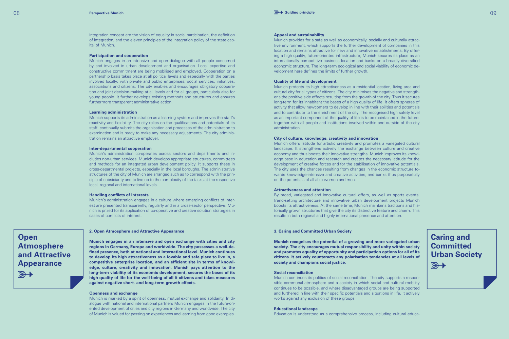integration concept are the vision of equality in social participation, the definition of integration, and the eleven principles of the integration policy of the state capital of Munich.

#### **Participation and cooperation**

Munich engages in an intensive and open dialogue with all people concerned by and involved in urban development and organisation. Local expertise and constructive commitment are being mobilised and employed. Cooperation on a partnership basis takes place at all political levels and especially with the parties involved locally: with private and public enterprises, social services, initiatives, associations and citizens. The city enables and encourages obligatory cooperation and joint decision-making at all levels and for all groups, particularly also for young people. It further develops existing methods and structures and ensures furthermore transparent administrative action.

#### **Learning administration**

Munich supports its administration as a learning system and improves the staff's reactivity and flexibility. The city relies on the qualifications and potentials of its staff, continually submits the organisation and processes of the administration to examination and is ready to make any necessary adjustments. The city administration remains an attractive employer.

#### **Inter-departmental cooperation**

Munich's administration co-operates across sectors and departments and includes non-urban services. Munich develops appropriate structures, committees and methods for an integrated urban development policy. It supports these in cross-departmental projects, especially in the local boroughs. The administrative structures of the city of Munich are arranged such as to correspond with the principle of subsidiarity and to live up to the complexity of the tasks at the respective local, regional and international levels.

#### **Handling conflicts of interests**

Munich's administration engages in a culture where emerging conflicts of interest are presented transparently, regularly and in a cross-sector perspective. Munich is prized for its application of co-operative and creative solution strategies in cases of conflicts of interest.

**Open Atmosphere and Attractive Appearance**  $\mathbb{R}$ 

#### **2. Open Atmosphere and Attractive Appearance**

**Munich engages in an intensive and open exchange with cities and city regions in Germany, Europe and worldwide. The city possesses a well-defined presence, both at national and international level. Munich continues to develop its high attractiveness as a lovable and safe place to live in, a competitive enterprise location, and an efficient site in terms of knowledge, culture, creativity and innovation. Munich pays attention to the long-term viability of its economic development, secures the bases of its high quality of life for the well-being of all it citizens and takes measures against negative short- and long-term growth effects.** 

#### **Openness and exchange**

Munich is marked by a spirit of openness, mutual exchange and solidarity. In dialogue with national and international partners Munich engages in the future-oriented development of cities and city regions in Germany and worldwide. The city of Munich is valued for passing on experiences and learning from good examples.

#### **Appeal and sustainability**

Munich provides for a safe as well as economically, socially and culturally attractive environment, which supports the further development of companies in this location and remains attractive for new and innovative establishments. By offering a high quality, future-oriented infrastructure, Munich secures its place as an internationally competitive business location and banks on a broadly diversified economic structure. The long-term ecological and social viability of economic development here defines the limits of further growth.

#### **Quality of life and development**

Munich protects its high attractiveness as a residential location, living area and cultural city for all types of citizens. The city minimises the negative and strengthens the positive side effects resulting from the growth of the city. Thus it secures long-term for its inhabitant the bases of a high quality of life. It offers spheres of activity that allow newcomers to develop in line with their abilities and potentials and to contribute to the enrichment of the city. The recognised high safety level as an important component of the quality of life is to be maintained in the future, together with all people and institutions involved within and outside of the city administration.

#### **City of culture, knowledge, creativity and innovation**

Munich offers latitude for artistic creativity and promotes a variegated cultural landscape. It strengthens actively the exchange between culture and creative economy and thus boosts their innovative strengths. Munich improves its knowledge base in education and research and creates the necessary latitude for the development of creative forces and for the stabilisation of innovative potentials. The city uses the chances resulting from changes in the economic structure towards knowledge-intensive and creative activities, and banks thus purposefully on the potentials of all able women and men.

#### **Attractiveness and attention**

By broad, variegated and innovative cultural offers, as well as sports events, trend-setting architecture and innovative urban development projects Munich boosts its attractiveness. At the same time, Munich maintains traditions and historically grown structures that give the city its distinctive feature and charm. This results in both regional and highly international presence and attention.

#### **3. Caring and Committed Urban Society**

**Munich recognises the potential of a growing and more variegated urban society. The city encourages mutual responsibility and unity within society and promotes equality of opportunity and participation options for all of its citizens. It actively counteracts any polarisation tendencies at all levels of society and champions social justice.** 

#### **Social reconciliation**

Munich continues its politics of social reconciliation. The city supports a responsible communal atmosphere and a society in which social and cultural mobility continues to be possible, and where disadvantaged groups are being supported and furthered in line with their specific potentials and situations in life. It actively works against any exclusion of these groups.

#### **Educational landscape**

Education is understood as a comprehensive process, including cultural educa-

**Caring and Committed Urban Society** $\overline{\mathbb{R}}$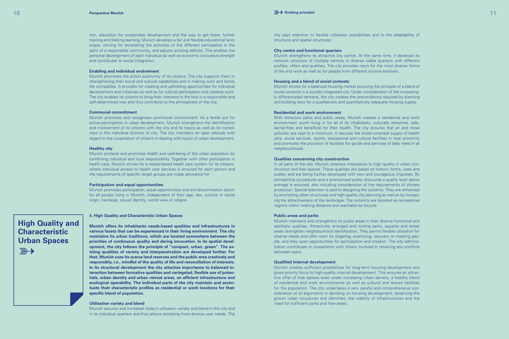tion, education for sustainable development and the way to get there, further training and lifelong learning. Munich develops a fair and flexible educational landscape, striving for dovetailing the activities of the different participants in the spirit of a responsible community, and adjusts existing deficits. This enables the personal development of each individual as well as economic innovative strength and contributes to social integration.

#### **Enabling and individual evolvement**

Munich promotes the action autonomy of its citizens. The city supports them in strengthening their social and cultural capabilities and in making work and family life compatible. It provides for creating and upholding opportunities for individual development and initiatives as well as for cultural participation and creative work. The city enables its citizens to bring their interests to the fore in a responsible and self-determined way and thus contribute to the atmosphere of the city.

#### **Communal commitment**

Munich promotes and recognises communal commitment. As a fertile soil for active participation in urban development, Munich strengthens the identification and involvement of its citizens with the city and its topics as well as its rootedness in the individual districts of city. The city maintains an open attitude with regard to the cooperation of citizens in dealing with topics of urban development.

#### **Healthy city**

**High Quality and Characteristic Urban Spaces**

 $\overline{\mathbb{R}}$ 

Munich protects and promotes health and well-being of the urban population by combining individual and local responsibility. Together with other participants in health care, Munich strives for a needs-based health care system for its citizens, where individual access to health care services is ensured for each person and the requirements of specific target groups are made allowance for.

#### **Participation and equal opportunities**

Munich promotes participation, equal opportunities and anti-discrimination action for all people living in Munich, independent of their age, sex, cultural or social origin, handicap, sexual identity, world view or religion.

#### **4. High Quality and Characteristic Urban Spaces**

**Munich offers its inhabitants needs-based qualities and infrastructures in various facets that can be experienced in their living environment. The city maintains its urban traditions, which are located somewhere between the priorities of continuous quality and daring innovation. In its spatial development, the city follows the principle of "compact, urban, green". The existing qualities of variety and interpenetration are developed further. For that, Munich uses its scarce land reserves and the public area creatively and responsibly, i.e., mindful of the quality of life and reconciliation of interests. In its structural development the city attaches importance to balanced interaction between formative qualities and variegated, flexible use of potentials, urban density and urban retreat areas, an efficient infrastructure and ecological operability. The individual parts of the city maintain and accentuate their characteristic profiles as residential or work locations for their specific blend of population.** 

#### **Utilisation variety and blend**

Munich secures and increases today's utilisation variety and blend in the city and in its individual quarters and thus allows satisfying most diverse user needs. The city pays attention to flexible utilisation possibilities and to the adaptability of structural and spatial structures.

#### **City centre and functional quarters**

Munich strengthens its attractive city centre. At the same time, it develops its network structure of multiple centres in diverse viable quarters with different profiles, offers and qualities. The city provides room for the most diverse forms of life and work as well as for people from different income brackets.

#### **Housing and a blend of social contexts**

Munich strives for a balanced housing market pursuing the principle of a blend of social contexts in a socially integrated city. Under consideration of the increasingly differentiated demand, the city creates the preconditions required by planning and building laws for a qualitatively and quantitatively adequate housing supply.

#### **Residential and work environment**

With attractive parks and public areas, Munich creates a residential and work environment worth living in for all of its inhabitants, culturally attractive, safe, barrier-free and beneficial for their health. The city ensures that air and noise pollution are kept to a minimum. It secures the citizen-oriented supply of health care, social services, sports, educational and cultural facilities in near proximity and promotes the provision of facilities for goods and services of daily need in all neighbourhoods.

#### **Qualities concerning city construction**

In all parts of the city, Munich attaches importance to high quality in urban construction and free spaces. These qualities are based on historic forms, uses and scales, and are being further developed with new and courageous impulses. By competitive procedures and a pronounced public discourse a quality level above average is ensured, also including consideration of the requirements of climate protection. Special attention is paid to designing the outskirts. They are enhanced by promoting urban structures and high-quality city planning as well as by increasing the attractiveness of the landscape. The outskirts are boosted as recreational regions within walking distance and reachable by bicycle.

#### **Public areas and parks**

Munich maintains and strengthens its public areas in their diverse functional and aesthetic qualities. Attractively arranged and inviting parks, squares and street areas strengthen neighbourhood identification. They permit flexible utilisation for diverse needs and offer room for lingering, exercising, recovery or meeting people, and they open opportunities for participation and creation. The city administration contributes in cooperation with others involved in resolving any conflicts between users.

#### **Qualified internal development**

Munich creates sufficient possibilities for long-term housing development and gives priority focus to high-quality internal development. This ensures an attractive offer of free spaces even under increasing urban density, a healthy blend of residential and work environments as well as cultural and leisure facilities for the population. The city undertakes a very careful and comprehensive consideration of all arguments in deciding on housing development, observing the grown urban structures and identities, the viability of infrastructures and the need for sufficient parks and free areas.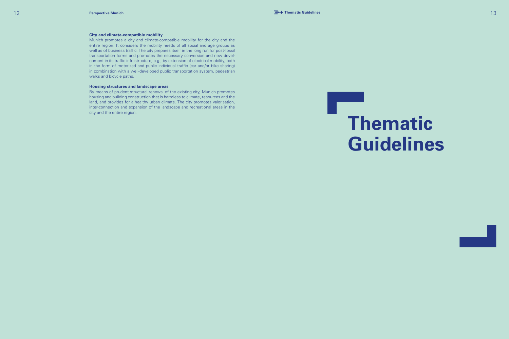#### **City and climate-compatible mobility**

Munich promotes a city and climate-compatible mobility for the city and the entire region. It considers the mobility needs of all social and age groups as well as of business traffic. The city prepares itself in the long run for post-fossil transportation forms and promotes the necessary conversion and new devel opment in its traffic infrastructure, e.g., by extension of electrical mobility, both in the form of motorized and public individual traffic (car and/or bike sharing) in combination with a well-developed public transportation system, pedestrian walks and bicycle paths.

#### **Housing structures and landscape areas**

By means of prudent structural renewal of the existing city, Munich promotes housing and building construction that is harmless to climate, resources and the land, and provides for a healthy urban climate. The city promotes valorisation, inter-connection and expansion of the landscape and recreational areas in the city and the entire region.

# **Thematic Guidelines**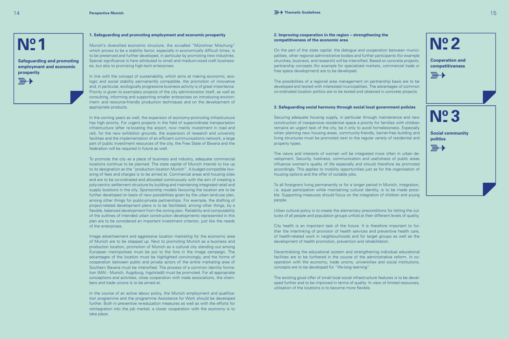

 $\mathbb{R}$ 

**Safeguarding and promoting employment and economic prosperity**

#### **1. Safeguarding and promoting employment and economic prosperity**

Munich's diversified economic structure, the so-called "Münchner Mischung" which proves to be a stability factor, especially in economically difficult times, is to be preserved and further developed, in particular by promoting new industries. Special significance is here attributed to small and medium-sized craft businesses, but also to promising high-tech enterprises. **1 2**

> In line with the concept of sustainability, which aims at making economic, ecologic and social stability permanently compatible, the promotion of innovative and, in particular, ecologically progressive business activity is of great importance. Priority is given to exemplary projects of the city administration itself, as well as consulting, informing and supporting smaller enterprises on introducing environment- and resource-friendly production techniques and on the development of appropriate products.

> In the coming years as well, the expansion of economy-promoting infrastructure has high priority. For urgent projects in the field of superordinate transportation infrastructure (after re-locating the airport, now mainly investment in road and rail), for the new exhibition grounds, the expansion of research and university facilities and the implementation of an efficient communications network, a large part of public investment resources of the city, the Free State of Bavaria and the federation will be required in future as well.

> To promote the city as a place of business and industry, adequate commercial locations continue to be planned. The state capital of Munich intends to live up to its designation as the "production location Munich". A budget-compatible lowering of fees and charges is to be aimed at. Commercial areas and housing sites and are to be co-ordinated and allocated continuously with the aim of creating a poly-centric settlement structure by building and maintaining integrated retail and supply locations in the city. Sponsorship models favouring the location are to be further developed on basis of new possibilities given by the urban land-use plan, among other things for public-private partnerships. For example, the drafting of project-related development plans is to be facilitated, among other things, by a flexible, balanced development from the zoning plan. Reliability and computability of the outlines of intended urban construction developments represented in this plan are to be considered an important investment criterion, just like the needs of the enterprises.

> Image advertisement and aggressive location marketing for the economic area of Munich are to be stepped up. Next to promoting Munich as a business and production location, promotion of Munich as a cultural city standing out among European metropolises must be put to the fore in the image campaign. The advantages of the location must be highlighted convincingly, and the forms of cooperation between public and private actors of the entire marketing area of Southern Bavaria must be intensified. The process of a common identity formation (MAI - Munich, Augsburg, Ingolstadt) must be promoted. For all appropriate conceptions and activities, close cooperation with trade associations, the chambers and trade unions is to be aimed at.

> In the course of an active labour policy, the Munich employment and qualification programme and the programme Assistance for Work should be developed further. Both in preventive re-education measures as well as with the efforts for reintegration into the job market, a closer cooperation with the economy is to take place.

#### **2. Improving cooperation in the region – strengthening the competitiveness of the economic area**

On the part of the state capital, the dialogue and cooperation between municipalities, other regional administrative bodies and further participants (for example churches, business, and research) will be intensified. Based on concrete projects, partnership concepts (for example for specialized markets, commercial trade or free space development) are to be developed.

The possibilities of a regional area management on partnership basis are to be developed and tested with interested municipalities. The advantages of common co-ordinated location politics are to be tested and obtained in concrete projects.

#### **3. Safeguarding social harmony through social local government policies**

Securing adequate housing supply, in particular through maintenance and new construction of inexpensive residential space a priority for families with children remains an urgent task of the city, be it only to avoid homelessness. Especially when planning new housing areas, community-friendly, barrier-free building and living structures must be promoted next to the regular variety of residential and property types.

The views and interests of women will be integrated more often in urban development. Security, liveliness, communication and usefulness of public areas influence women's quality of life especially and should therefore be promoted accordingly. This applies to mobility opportunities just as for the organisation of housing options and the offer of suitable jobs.

To all foreigners living permanently or for a longer period in Munich, integration, i.e. equal participation while maintaining cultural identity, is to be made possible. Supporting measures should focus on the integration of children and young people.

Urban cultural policy is to create the elementary preconditions for letting the cultures of all people and population groups unfold at their different levels of quality.

City health is an important task of the future. It is therefore important to further the interlinking of provision of health services and preventive health care, of health-related work in neighbourhoods and for target groups as well as the development of health promotion, prevention and rehabilitation.

Decentralising the educational system and strengthening individual educational facilities are to be furthered in the course of the administrative reform. In cooperation with the economy, trade unions, universities and social institutions, concepts are to be developed for "life-long learning".

The existing good offer of small local social infrastructure features is to be developed further and to be improved in terms of quality. In view of limited resources, utilisation of the locations is to become more flexible.

**3**

**politics**

 $\overline{\mathbb{R}}$ 

 $\overline{\mathbb{R}}$ 

**Social community** 

**Cooperation and competitiveness**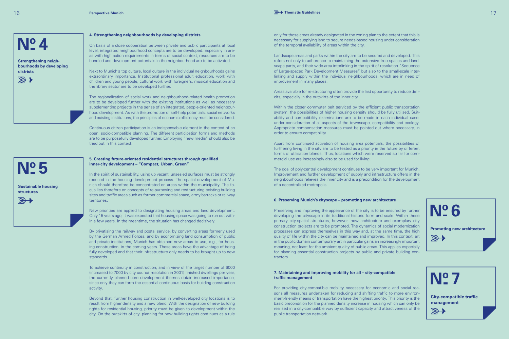

**Strengthening neighbourhoods by developing districts**

**Sustainable housing** 

**structures**

 $\overline{\mathbb{R}}$ 

**5**



**4. Strengthening neighbourhoods by developing districts**

On basis of a close cooperation between private and public participants at local level, integrated neighbourhood concepts are to be developed. Especially in areas with high action requirements in terms of social context, resources are to be bundled and development potentials in the neighbourhood are to be activated.

Next to Munich's top culture, local culture in the individual neighbourhoods gains extraordinary importance. Institutional professional adult education, work with children and young people, cultural work with foreigners, musical education and the library sector are to be developed further.

The regionalization of social work and neighbourhood-related health promotion are to be developed further with the existing institutions as well as necessary supplementing projects in the sense of an integrated, people-oriented neighbourhood development. As with the promotion of self-help potentials, social networks and existing institutions, the principles of economic efficiency must be considered.

Continuous citizen participation is an indispensable element in the context of an open, socio-compatible planning. The different participation forms and methods are to be purposefully developed further. Employing "new media" should also be tried out in this context.

#### **5. Creating future-oriented residential structures through qualified inner-city development – "Compact, Urban, Green"**

In the spirit of sustainability, using up vacant, unsealed surfaces must be strongly reduced in the housing development process. The spatial development of Munich should therefore be concentrated on areas within the municipality. The focus lies therefore on concepts of re-purposing and restructuring existing building sites and traffic areas such as former commercial space, army barracks or railway territories.

New priorities are applied to designating housing areas and land development. Only 15 years ago, it was expected that housing space was going to run out within a few years. In the meantime, the situation has changed decisively.

By privatising the railway and postal service, by converting areas formerly used by the German Armed Forces, and by economizing land consumption of public and private institutions, Munich has obtained new areas to use, e.g., for housing construction, in the coming years. These areas have the advantage of being fully developed and that their infrastructure only needs to be brought up to new standards.

To achieve continuity in construction, and in view of the target number of 6000 (increased to 7000 by city council resolution in 2001) finished dwellings per year, the currently planned core development themes obtain increased importance, since only they can form the essential continuous basis for building construction activity.

Beyond that, further housing construction in well-developed city locations is to result from higher density and a new blend. With the designation of new building rights for residential housing, priority must be given to development within the city. On the outskirts of city, planning for new building rights continues as a rule

only for those areas already designated in the zoning plan to the extent that this is necessary for supplying land to secure needs-based housing under consideration of the temporal availability of areas within the city.

Landscape areas and parks within the city are to be secured and developed. This refers not only to adherence to maintaining the extensive free spaces and landscape parts, and their wide-area interlinking in the spirit of resolution "Sequence of Large-spaced Park Development Measures" but also to the small-scale interlinking and supply within the individual neighbourhoods, which are in need of improvement in many places.

Areas available for re-structuring often provide the last opportunity to reduce deficits, especially in the outskirts of the inner city.

Within the closer commuter belt serviced by the efficient public transportation system, the possibilities of higher housing density should be fully utilised. Suitability and compatibility examinations are to be made in each individual case, under consideration of all aspects of the townscape, compatibility and ecology. Appropriate compensation measures must be pointed out where necessary, in order to ensure compatibility.

Apart from continued activation of housing area potentials, the possibilities of furthering living in the city are to be tested as a priority in the future by different forms of utilisation blends. Thus, locations which were reserved so far for commercial use are increasingly also to be used for living.

The goal of poly-central development continues to be very important for Munich. Improvement and further development of supply and infrastructure offers in the neighbourhoods relieves the inner city and is a precondition for the development of a decentralized metropolis.

#### **6. Preserving Munich's cityscape – promoting new architecture**

Preserving and improving the appearance of the city is to be ensured by further developing the cityscape in its traditional historic form and scale. Within these primary city-spatial structures, however, new architecture and exemplary city construction projects are to be promoted. The dynamics of social modernization processes can express themselves in this way and, at the same time, the high quality of life within the city can be maintained and improved. In this context, art in the public domain contemporary art in particular gains an increasingly important meaning, not least for the ambient quality of public areas. This applies especially for planning essential construction projects by public and private building contractors.

#### **7. Maintaining and improving mobility for all – city-compatible traffic management**

For providing city-compatible mobility necessary for economic and social reasons all measures undertaken for reducing and shifting traffic to more environment-friendly means of transportation have the highest priority. This priority is the basic precondition for the planned density increase in housing which can only be realised in a city-compatible way by sufficient capacity and attractiveness of the public transportation network.



**City-compatible traffic** 

**management**

 $\mathbb{R}$ 

**7**

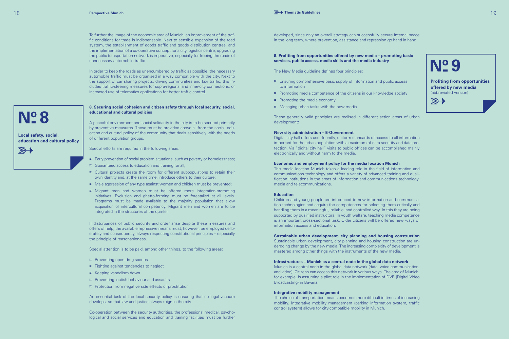In order to keep the roads as unencumbered by traffic as possible, the necessary automobile traffic must be organised in a way compatible with the city. Next to the support of car sharing projects, driving communities and taxi traffic, this includes traffic-steering measures for supra-regional and inner-city connections, or increased use of telematics applications for better traffic control.

#### **8. Securing social cohesion and citizen safety through local security, social, educational and cultural policies**

A peaceful environment and social solidarity in the city is to be secured primarily by preventive measures. These must be provided above all from the social, education and cultural policy of the community that deals sensitively with the needs of different population groups.

Special efforts are required in the following areas:

- **¤** Early prevention of social problem situations, such as poverty or homelessness;
- **¤** Guaranteed access to education and training for all;
- **¤** Cultural projects create the room for different subpopulations to retain their own identity and, at the same time, introduce others to their culture;
- **¤** Male aggression of any type against women and children must be prevented;
- **¤** Migrant men and women must be offered more integration-promoting initiatives. Exclusion and ghetto-forming must be forestalled at all levels. Programs must be made available to the majority population that allow acquisition of intercultural competency. Migrant men and women are to be integrated in the structures of the quarter.

If disturbances of public security and order arise despite these measures and offers of help, the available repressive means must, however, be employed deliberately and consequently, always respecting constitutional principles – especially the principle of reasonableness.

Special attention is to be paid, among other things, to the following areas:

- **¤** Preventing open drug scenes
- **¤** Fighting against tendencies to neglect
- **¤** Keeping vandalism down
- **¤** Preventing loutish behaviour and assaults
- **¤** Protection from negative side effects of prostitution

An essential task of the local security policy is ensuring that no legal vacuum develops, so that law and justice always reign in the city.

Co-operation between the security authorities, the professional medical, psychological and social services and education and training facilities must be further

developed, since only an overall strategy can successfully secure internal peace in the long term, where prevention, assistance and repression go hand in hand.

**9. Profiting from opportunities offered by new media – promoting basic services, public access, media skills and the media industry**

The New Media guideline defines four principles:

- **¤** Ensuring comprehensive basic supply of information and public access to information
- **¤** Promoting media competence of the citizens in our knowledge society
- **¤** Promoting the media economy
- **¤** Managing urban tasks with the new media

These generally valid principles are realised in different action areas of urban development:

#### **New city administration – E-Government**

Digital city hall offers user-friendly, uniform standards of access to all information important for the urban population with a maximum of data security and data protection. Via "digital city hall" visits to public offices can be accomplished mainly electronically and without harm to the media.

#### **Economic and employment policy for the media location Munich**

The media location Munich takes a leading role in the field of information and communications technology and offers a variety of advanced training and qualification institutions in the areas of information and communications technology, media and telecommunications.

#### **Education**

Children and young people are introduced to new information and communication technologies and acquire the competences for selecting them critically and handling them in a meaningful, reliable, and controlled way. In this they are being supported by qualified instructors. In youth welfare, teaching media competence is an important cross-sectional task. Older citizens will be offered new ways of information access and education.

#### **Sustainable urban development, city planning and housing construction**

Sustainable urban development, city planning and housing construction are undergoing change by the new media. The increasing complexity of development is mastered among other things with the instruments of the new media.

#### **Infrastructures – Munich as a central node in the global data network**

Munich is a central node in the global data network (data, voice communication, and video). Citizens can access this network in various ways. The area of Munich, for example, is assuming a pilot role in the implementation of DVB (Digital Video Broadcasting) in Bavaria.

#### **Integrative mobility management**

The choice of transportation means becomes more difficult in times of increasing mobility. Integrative mobility management (parking information system, traffic control system) allows for city-compatible mobility in Munich.

**Local safety, social,** 

**8**

 $\overline{\mathbb{R}}$ 

**education and cultural policy**

**Profiting from opportunities offered by new media**

(abbreviated version)

 $\mathbb{R}$ 

**N**<sup>o</sup><sub>2</sub>9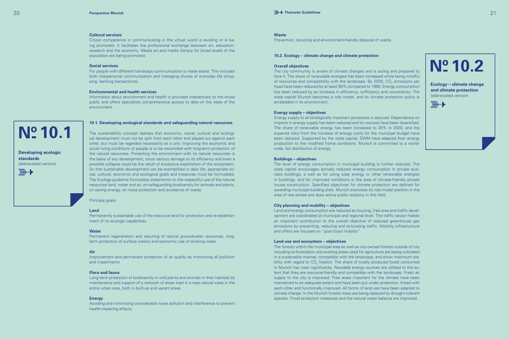#### **Cultural services**

Citizen competence in communicating in the virtual world is existing or is being promoted. It facilitates the professional exchange between art, education, research and the economy. Media art and media literacy for broad levels of the population are being promoted.

#### **Social services**

For people with different handicaps communication is made easier. This includes both interpersonal communication and managing chores of everyday life (shopping, banking transactions).

#### **Environmental and health services**

Information about environment and health is provided interactively to the broad public and offers specialists comprehensive access to data on the state of the environment.

## **10.1**

**Developing ecologic standards** (abbreviated version)

 $\overline{\mathbb{R}}$ 



The sustainability concept realises that economic, social, cultural and ecological development must not be split from each other and played out against each other, but must be regarded necessarily as a unit. Improving the economic and social living conditions of people is to be reconciled with long-term protection of the natural resources. Protecting the environment with its natural resources is the basis of any development, since serious damage to its efficiency and even a possible collapse could be the result of excessive exploitation of the ecosystem. So that sustainable development can be exemplified in daily life, appropriate social, cultural, economic and ecological goals and measures must be formulated. The Ecology guideline formulates statements on the respectful use of the natural resources land, water and air, on safeguarding biodiversity for animals and plants, on saving energy, on noise protection and avoidance of waste.

Principle goals:

#### **Land**

Permanently sustainable use of the resource land for protection and re-establishment of its ecologic capabilities

#### **Water**

Permanent regeneration and securing of natural groundwater resources, longterm protection of surface waters and economic use of drinking water

#### **Air**

Improvement and permanent protection of air quality by minimising all pollution and impairments

#### **Flora and fauna**

Long-term protection of biodiversity in wild plants and animals in their habitats by maintenance and support of a network of areas kept in a near-natural state in the entire urban area, both in built-up and vacant areas

#### **Energy**

Avoiding and minimising considerable noise pollution and interference to prevent health-impairing effects

#### **Overall objectives**

**Waste** 

The city community is aware of climate changes and is acting and prepared to face it. The share of renewable energies has been increased while being mindful of resources and compatibility with the landscape. By 2030,  $\text{CO}_2$  emissions per head have been reduced by at least 50% compared to 1990. Energy consumption has been reduced by an increase in efficiency, sufficiency and consistency. The state capital Munich becomes a role model, and its climate protection policy is embedded in its environment.

Prevention, recycling and environment-friendly disposal of waste

**10.2. Ecology – climate change and climate protection**



**Ecology – climate change and climate protection** (abbreviated version)

 $\overline{\mathbb{R}}$ 

#### **Energy supply – objectives**

Energy supply to all strategically important processes is secured. Dependence on imports in energy supply has been reduced and its sources have been diversified. The share of renewable energy has been increased to 20% in 2020, and the expense risks from the increase of energy costs for the municipal budget have been reduced. Supported by the state capital, SWM have adapted their energy production to the modified frame conditions. Munich is committed to a worldwide, fair distribution of energy.

#### **Buildings – objectives**

The level of energy consumption in municipal building is further reduced. The state capital encourages actively reduced energy consumption in private business buildings, a well as for using solar energy or other renewable energies in buildings, and for improved conditions in the area of climate-friendly private house construction. Specified objectives for climate protection are defined for awarding municipal building slots. Munich exercises its role model position in the area of real estate and does active public relations in this field.

#### **City planning and mobility – objectives**

Land and energy consumption are reduced as housing, free area and traffic development are coordinated at municipal and regional level. The traffic sector makes an important contribution to the overall objective of reduced greenhouse gas emissions by preventing, reducing and re-locating traffic. Mobility infrastructure and offers are focused on "post-fossil mobility".

#### **Land use and ecosystem – objectives**

The forests within the municipal area as well as city-owned forests outside of city including re-forestation and existing areas used for agriculture are being cultivated in a sustainable manner, compatible with the landscape, and show maximum stability with regard to  $\mathsf{CO}_2$  fixation. The share of locally produced foods consumed in Munich has risen significantly. Reusable energy sources are utilised to the extent that they are resource-friendly and compatible with the landscape. Fresh air supply to the city is improved. Free areas important for the climate have been maintained to an adequate extent and have been put under protection, linked with each other and functionally improved. All forms of land use have been adapted to climate change. In the Munich forests trees are being replaced by drought-tolerant species. Flood protection measures and the natural water balance are improved.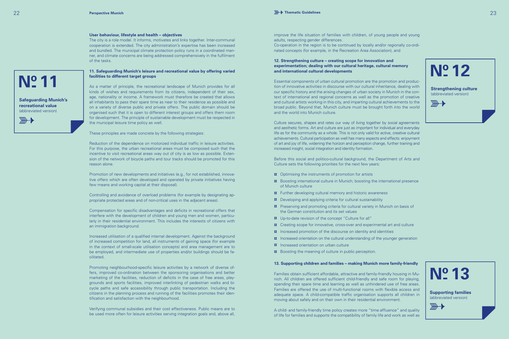The city is a role model. It informs, motivates and links together. Inter-communal cooperation is extended. The city administration's expertise has been increased and bundled. The municipal climate protection policy runs in a coordinated manner, and climate concerns are being addressed comprehensively in the fulfilment of the tasks.

**11. Safeguarding Munich's leisure and recreational value by offering varied facilities to different target groups**

As a matter of principle, the recreational landscape of Munich provides for all kinds of wishes and requirements from its citizens, independent of their sex, age, nationality or income. A framework must therefore be created that allows all inhabitants to pass their spare time as near to their residence as possible and on a variety of diverse public and private offers. The public domain should be organised such that it is open to different interest groups and offers them room for development. The principle of sustainable development must be respected in the municipal leisure time policy as well.

These principles are made concrete by the following strategies:

Reduction of the dependence on motorized individual traffic in leisure activities. For this purpose, the urban recreational areas must be composed such that the incentive to visit recreational areas way out of city is as low as possible. Extension of the network of bicycle paths and tour tracks should be promoted for this reason alone.

Promotion of new developments and initiatives (e.g., for not established, innovative offers which are often developed and operated by private initiatives having few means and working capital at their disposal).

Controlling and avoidance of overload problems (for example by designating appropriate protected areas and of non-critical uses in the adjacent areas).

Compensation for specific disadvantages and deficits in recreational offers that interfere with the development of children and young men and women, particularly in their residential environment. This includes the interests of citizens with an immigration background.

Increased utilisation of a qualified internal development. Against the background of increased competition for land, all instruments of gaining space (for example in the context of small-scale utilisation concepts) and area management are to be employed, and intermediate use of properties and/or buildings should be facilitated.

Promoting neighbourhood-specific leisure activities by a network of diverse offers, improved co-ordination between the sponsoring organisations and better marketing of the facilities, reduction of deficits in the case of free areas, playgrounds and sports facilities, improved interlinking of pedestrian walks and bicycle paths and safe accessibility through public transportation. Including the citizens in the planning process and running of the facilities promotes their identification and satisfaction with the neighbourhood.

Verifying communal subsidies and their cost effectiveness. Public means are to be used more often for leisure activities serving integration goals and, above all,

improve the life situation of families with children, of young people and young adults, respecting gender differences.

Co-operation in the region is to be continued by locally and/or regionally co-ordinated concepts (for example, in the Recreation Area Association), and

#### **12. Strengthening culture – creating scope for innovation and experimentation; dealing with our cultural heritage, cultural memory and international cultural developments**

Essential components of urban cultural promotion are the promotion and production of innovative activities in discourse with our cultural inheritance, dealing with our specific history and the arising changes of urban society in Munich in the context of international and regional concerns as well as the promotion of creative and cultural artists working in this city, and imparting cultural achievements to the broad public. Beyond that, Munich culture must be brought forth into the world and the world into Munich culture. **11 Strengthening culture**

**12**

(abbreviated version)

 $\overline{\mathbb{R}}$ 

Culture secures, shapes and rates our way of living together by social agreements and aesthetic forms. Art and culture are just as important for individual and everyday life as for the community as a whole. This is not only valid for active, creative cultural achievements. Cultural participation as well has many aspects and effects: enjoyment of art and joy of life, widening the horizon and perception change, further training and increased insight, social integration and identity formation.

Before this social and politico-cultural background, the Department of Arts and Culture sets the following priorities for the next few years:

- **¤** Optimising the instruments of promotion for artists
- **¤** Boosting international culture in Munich; boosting the international presence of Munich culture
- **¤** Further developing cultural memory and historic awareness
- **¤** Developing and applying criteria for cultural sustainability
- **¤** Preserving and promoting criteria for cultural variety in Munich on basis of the German constitution and its set values
- **¤** Up-to-date revision of the concept "Culture for all"
- **¤** Creating scope for innovative, cross-over and experimental art and culture
- **¤** Increased promotion of the discourse on identity and identities
- $\alpha$  Increased orientation on the cultural understanding of the younger generation
- **¤** Increased orientation on urban culture
- **¤** Boosting the meaning of culture in public perception.

#### **13. Supporting children and families – making Munich more family-friendly**

Families obtain sufficient affordable, attractive and family-friendly housing in Munich. All children are offered sufficient child-friendly and safe room for playing, spending their spare time and learning as well as unhindered use of free areas. Families are offered the use of multi-functional rooms with flexible access and adequate space. A child-compatible traffic organisation supports all children in moving about safely and on their own in their residential environment.

A child- and family-friendly time policy creates more "time affluence" and quality of life for families and supports the compatibility of family life and work as well as



**Safeguarding Munich's recreational value** (abbreviated version)

 $\overline{\mathbb{R}}$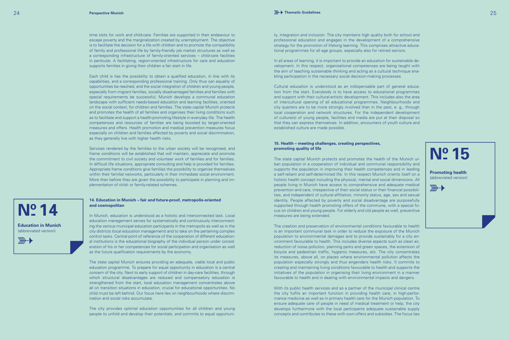time slots for work and child-care. Families are supported in their endeavour to escape poverty and the marginalization created by unemployment. The objective is to facilitate the decision for a life with children and to promote the compatibility of family and professional life by family-friendly job market structures as well as a corresponding infrastructure of family-oriented services – child-care facilities in particular. A facilitating, region-oriented infrastructure for care and education supports families in giving their children a fair start in life.

Each child is has the possibility to obtain a qualified education, in line with its capabilities, and a corresponding professional training. Only thus can equality of opportunities be reached, and the social integration of children and young people, especially from migrant families, socially disadvantaged families and families with special requirements be successful. Munich develops a communal education landscape with sufficient needs-based education and learning facilities, oriented on the social context, for children and families. The state capital Munich protects and promotes the health of all families and organises their living conditions such as to facilitate and support a health-promoting lifestyle in everyday life. The health competences and resources of families are being boosted by target-oriented measures and offers. Health promotion and medical prevention measures focus especially on children and families affected by poverty and social discrimination, as they generally live with higher health risks.

Services rendered by the families to the urban society will be recognised, and frame conditions will be established that will maintain, appreciate and promote the commitment to civil society and volunteer work of families and for families. In difficult life situations, appropriate consulting and help is provided for families. Appropriate frame conditions give families the possibility to organise themselves within their familial networks, particularly in their immediate social environment. More than before they are given the possibility to participate in planning and implementation of child- or family-related schemes.

#### **14. Education in Munich – fair and future-proof, metropolis-oriented and cosmopolitan**

In Munich, education is understood as a holistic and interconnected task. Local education management serves for systematically and continuously interconnecting the various municipal education participants in the metropolis as well as in the city districts (local education management) and to take on the pertaining complex control tasks. Central point of reference of the cooperation of different educational institutions is the educational biography of the individual person under consideration of his or her competences for social participation and organisation as well as the future qualification requirements by the economy.

The state capital Munich ensures providing an adequate, viable local and public education programme. To prepare for equal opportunity in education is a central concern of the city. Next to early support of children in day-care facilities, through which structural disadvantages are reduced and compensatory education is strengthened from the start, local education management concentrates above all on transition situations in education, crucial for educational opportunities. No child must be left behind. Our focus here lies on neighbourhoods where discrimination and social risks accumulate.

The city provides optimal education opportunities for all children and young people to unfold and develop their potentials, and commits to equal opportunity, integration and inclusion. The city maintains high quality both for school and professional education and engages in the development of a comprehensive strategy for the promotion of lifelong learning. This comprises attractive educational programmes for all age groups, especially also for retired seniors.

In all areas of learning, it is important to provide an education for sustainable development. In this respect, organisational competences are being taught with the aim of teaching sustainable thinking and acting as a cultural technique enabling participation in the necessary social decision-making processes.

Cultural education is understood as an indispensable part of general education from the start. Everybody is to have access to educational programmes and support with their cultural-artistic development. This includes also the area of intercultural opening of all educational programmes. Neighbourhoods and city quarters are to be more strongly involved than in the past, e. g., through local cooperation and network structures. For the independent development of culture(s) of young people, facilities and media are put at their disposal so that they can express themselves. In addition, encounters of youth culture and established culture are made possible.

#### **15. Health – meeting challenges, creating perspectives, promoting quality of life**

The state capital Munich protects and promotes the health of the Munich urban population in a cooperation of individual and communal responsibility and supports the population in improving their health competences and in leading a self-reliant and self-determined life. In this respect Munich orients itself on a holistic health concept including the physical, mental and social dimensions. All people living in Munich have access to comprehensive and adequate medical prevention and care, irrespective of their social status or their financial possibilities, and independent of cultural affiliation, minority status, age, sex and sexual identity. People affected by poverty and social disadvantage are purposefully supported through health promoting offers of the commune, with a special focus on children and young people. For elderly and old people as well, preventive measures are being extended.

The creation and preservation of environmental conditions favourable to health is an important communal task in order to reduce the exposure of the Munich population to environmental damages and to provide sustainably for a city environment favourable to health. This includes diverse aspects such as clean air, reduction of noise pollution, planning parks and green spaces, the extension of bicycle and pedestrian traffic, hygienic measures, etc. The city concentrates its measures, above all, on places where environmental pollution affects the population especially strongly and thus engenders health risks. It commits to creating and maintaining living conditions favourable to health and supports the initiatives of the population in organising their living environment in a manner favourable to health and in dealing with environmental impacts and dangers.

With its public health services and as a partner of the municipal clinical centre the city fulfils an important function in providing health care, in high-performance medicine as well as in primary health care for the Munich population. To ensure adequate care of people in need of medical treatment or help, the city develops furthermore with the local participants adequate sustainable supply concepts and contributes to these with own offers and subsidies. The focus lies

**Education in Munich** (abbreviated version)

 $\overline{\mathbb{R}}$ 

**N**<sup>o</sup> 14

**N**<sup>o</sup> 15

**Promoting health**  (abbreviated version)

 $\frac{1}{2}$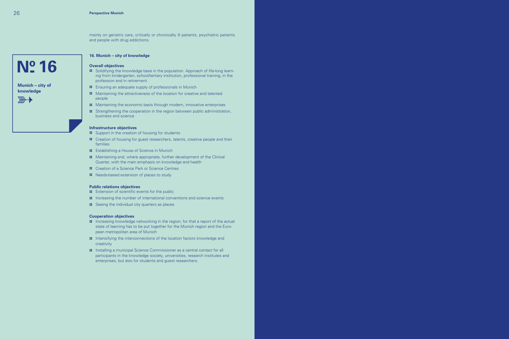mainly on geriatric care, critically or chronically ill patients, psychiatric patients and people with drug addictions.

#### **16. Munich – city of knowledge**

#### **Overall objectives**

- **¤** Solidifying the knowledge base in the population. Approach of life-long learning from kindergarten, school/tertiary institution, professional training, in the profession and in retirement.
- **¤** Ensuring an adequate supply of professionals in Munich
- **¤** Maintaining the attractiveness of the location for creative and talented people
- $\alpha$  Maintaining the economic basis through modern, innovative enterprises
- **¤** Strengthening the cooperation in the region between public administration, business and science

#### **Infrastructure objectives**

- **¤** Support in the creation of housing for students
- **¤** Creation of housing for guest researchers, talents, creative people and their families
- **¤** Establishing a House of Science in Munich
- **¤** Maintaining and, where appropriate, further development of the Clinical Quarter, with the main emphasis on knowledge and health
- **¤** Creation of a Science Park or Science Centres
- **¤** Needs-based extension of places to study

#### **Public relations objectives**

- **¤** Extension of scientific events for the public
- **¤** Increasing the number of international conventions and science events
- $\overline{a}$  Seeing the individual city quarters as places

#### **Cooperation objectives**

- **¤** Increasing knowledge networking in the region; for that a report of the actual state of learning has to be put together for the Munich region and the European metropolitan area of Munich
- **¤** Intensifying the interconnections of the location factors knowledge and creativity
- **¤** Installing a municipal Science Commissioner as a central contact for all participants in the knowledge society, universities, research institutes and enterprises, but also for students and guest researchers.

### **Nº 16**

#### **Munich – city of knowledge**